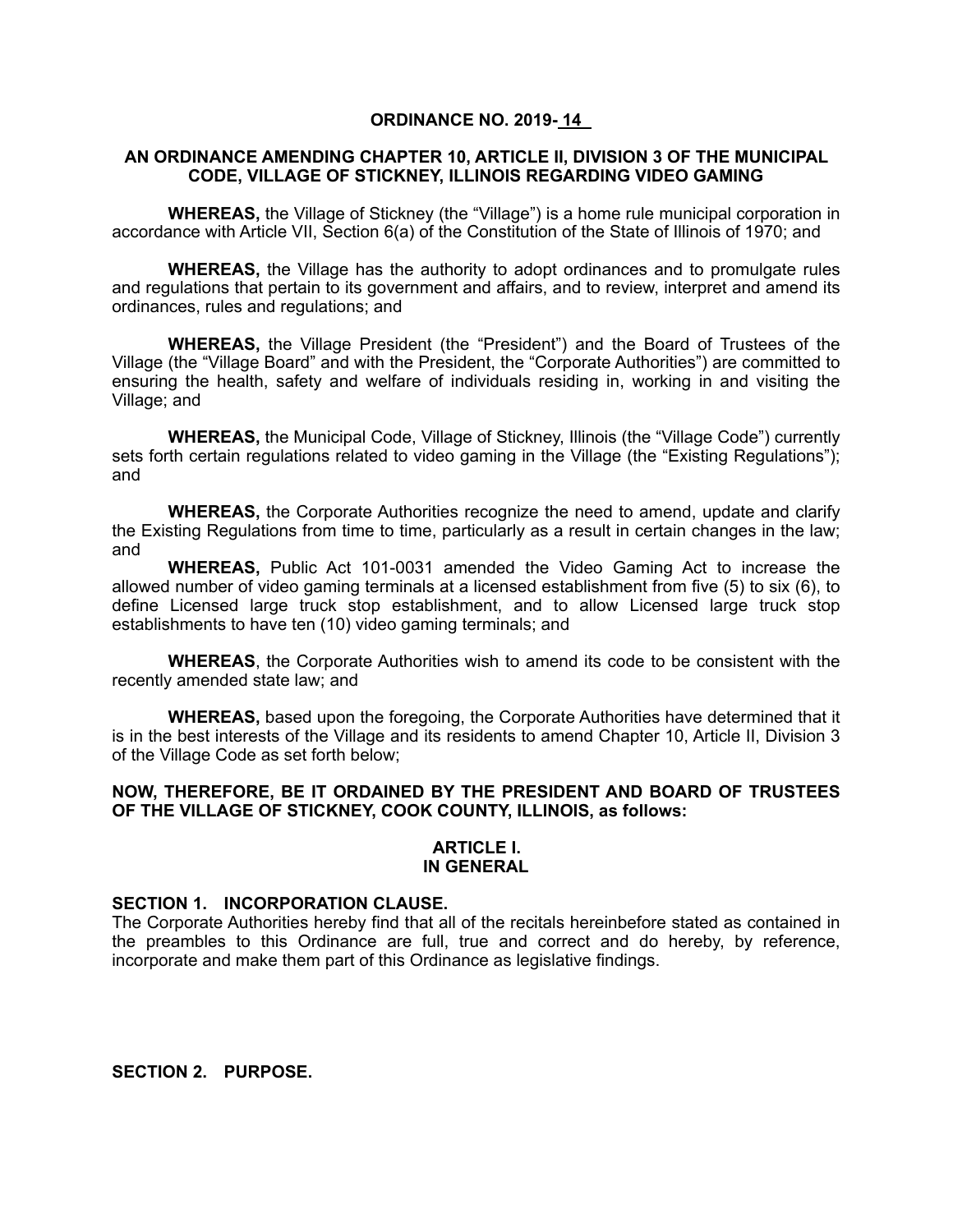## **ORDINANCE NO. 2019- 14**

### **AN ORDINANCE AMENDING CHAPTER 10, ARTICLE II, DIVISION 3 OF THE MUNICIPAL CODE, VILLAGE OF STICKNEY, ILLINOIS REGARDING VIDEO GAMING**

**WHEREAS,** the Village of Stickney (the "Village") is a home rule municipal corporation in accordance with Article VII, Section 6(a) of the Constitution of the State of Illinois of 1970; and

**WHEREAS,** the Village has the authority to adopt ordinances and to promulgate rules and regulations that pertain to its government and affairs, and to review, interpret and amend its ordinances, rules and regulations; and

**WHEREAS,** the Village President (the "President") and the Board of Trustees of the Village (the "Village Board" and with the President, the "Corporate Authorities") are committed to ensuring the health, safety and welfare of individuals residing in, working in and visiting the Village; and

**WHEREAS,** the Municipal Code, Village of Stickney, Illinois (the "Village Code") currently sets forth certain regulations related to video gaming in the Village (the "Existing Regulations"); and

**WHEREAS,** the Corporate Authorities recognize the need to amend, update and clarify the Existing Regulations from time to time, particularly as a result in certain changes in the law; and

**WHEREAS,** Public Act 101-0031 amended the Video Gaming Act to increase the allowed number of video gaming terminals at a licensed establishment from five (5) to six (6), to define Licensed large truck stop establishment, and to allow Licensed large truck stop establishments to have ten (10) video gaming terminals; and

**WHEREAS**, the Corporate Authorities wish to amend its code to be consistent with the recently amended state law; and

**WHEREAS,** based upon the foregoing, the Corporate Authorities have determined that it is in the best interests of the Village and its residents to amend Chapter 10, Article II, Division 3 of the Village Code as set forth below;

### **NOW, THEREFORE, BE IT ORDAINED BY THE PRESIDENT AND BOARD OF TRUSTEES OF THE VILLAGE OF STICKNEY, COOK COUNTY, ILLINOIS, as follows:**

#### **ARTICLE I. IN GENERAL**

#### **SECTION 1. INCORPORATION CLAUSE.**

The Corporate Authorities hereby find that all of the recitals hereinbefore stated as contained in the preambles to this Ordinance are full, true and correct and do hereby, by reference, incorporate and make them part of this Ordinance as legislative findings.

**SECTION 2. PURPOSE.**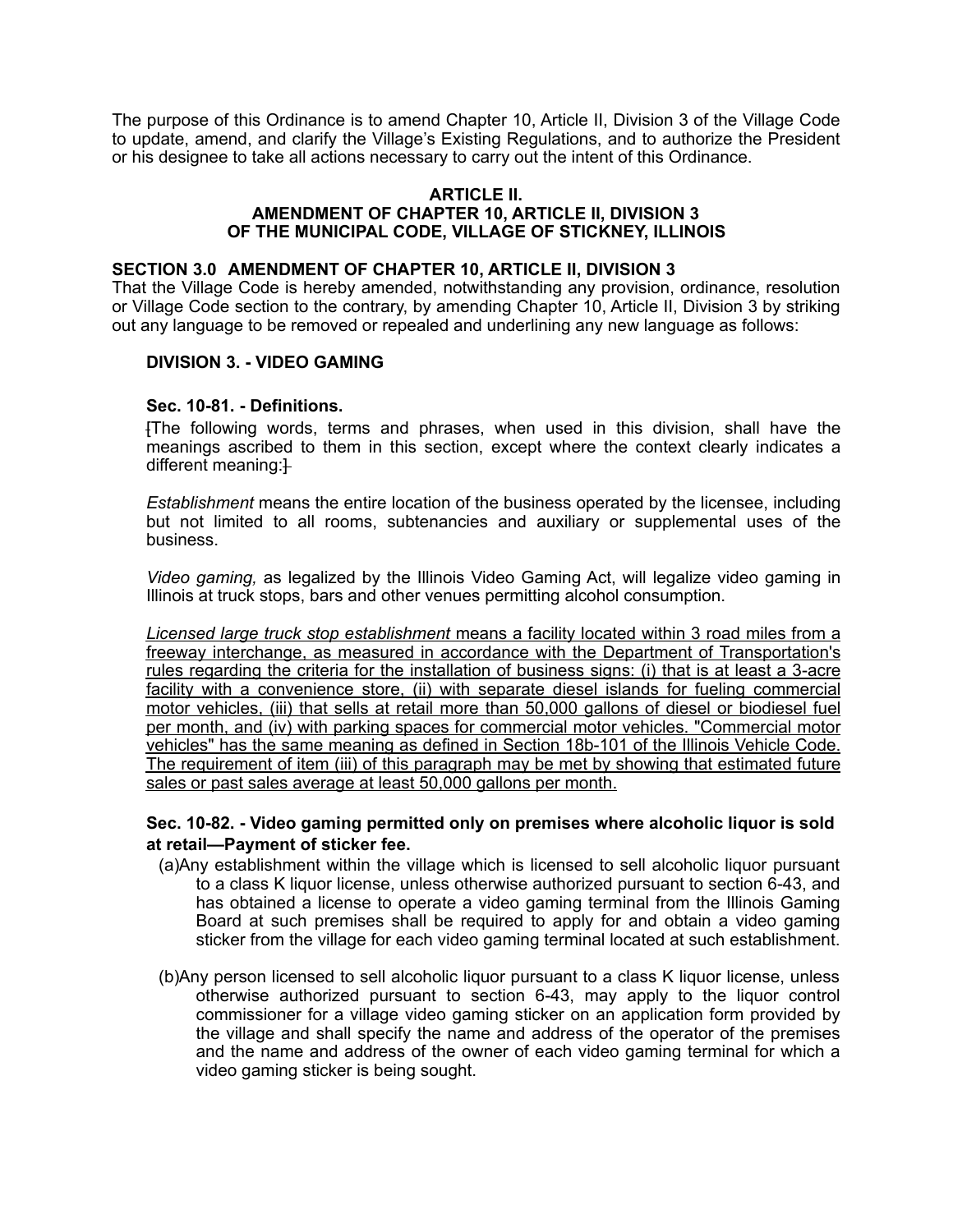The purpose of this Ordinance is to amend Chapter 10, Article II, Division 3 of the Village Code to update, amend, and clarify the Village's Existing Regulations, and to authorize the President or his designee to take all actions necessary to carry out the intent of this Ordinance.

### **ARTICLE II. AMENDMENT OF CHAPTER 10, ARTICLE II, DIVISION 3 OF THE MUNICIPAL CODE, VILLAGE OF STICKNEY, ILLINOIS**

### **SECTION 3.0 AMENDMENT OF CHAPTER 10, ARTICLE II, DIVISION 3**

That the Village Code is hereby amended, notwithstanding any provision, ordinance, resolution or Village Code section to the contrary, by amending Chapter 10, Article II, Division 3 by striking out any language to be removed or repealed and underlining any new language as follows:

## **DIVISION 3. - VIDEO GAMING**

## **Sec. 10-81. - Definitions.**

[The following words, terms and phrases, when used in this division, shall have the meanings ascribed to them in this section, except where the context clearly indicates a different meaning: $\ddagger$ 

*Establishment* means the entire location of the business operated by the licensee, including but not limited to all rooms, subtenancies and auxiliary or supplemental uses of the business.

*Video gaming,* as legalized by the Illinois Video Gaming Act, will legalize video gaming in Illinois at truck stops, bars and other venues permitting alcohol consumption.

*Licensed large truck stop establishment* means a facility located within 3 road miles from a freeway interchange, as measured in accordance with the Department of Transportation's rules regarding the criteria for the installation of business signs: (i) that is at least a 3-acre facility with a convenience store, (ii) with separate diesel islands for fueling commercial motor vehicles, (iii) that sells at retail more than 50,000 gallons of diesel or biodiesel fuel per month, and (iv) with parking spaces for commercial motor vehicles. "Commercial motor vehicles" has the same meaning as defined in Section 18b-101 of the Illinois Vehicle Code. The requirement of item (iii) of this paragraph may be met by showing that estimated future sales or past sales average at least 50,000 gallons per month.

# **Sec. 10-82. - Video gaming permitted only on premises where alcoholic liquor is sold at retail—Payment of sticker fee.**

- (a)Any establishment within the village which is licensed to sell alcoholic liquor pursuant to a class K liquor license, unless otherwise authorized pursuant to section 6-43, and has obtained a license to operate a video gaming terminal from the Illinois Gaming Board at such premises shall be required to apply for and obtain a video gaming sticker from the village for each video gaming terminal located at such establishment.
- (b)Any person licensed to sell alcoholic liquor pursuant to a class K liquor license, unless otherwise authorized pursuant to section 6-43, may apply to the liquor control commissioner for a village video gaming sticker on an application form provided by the village and shall specify the name and address of the operator of the premises and the name and address of the owner of each video gaming terminal for which a video gaming sticker is being sought.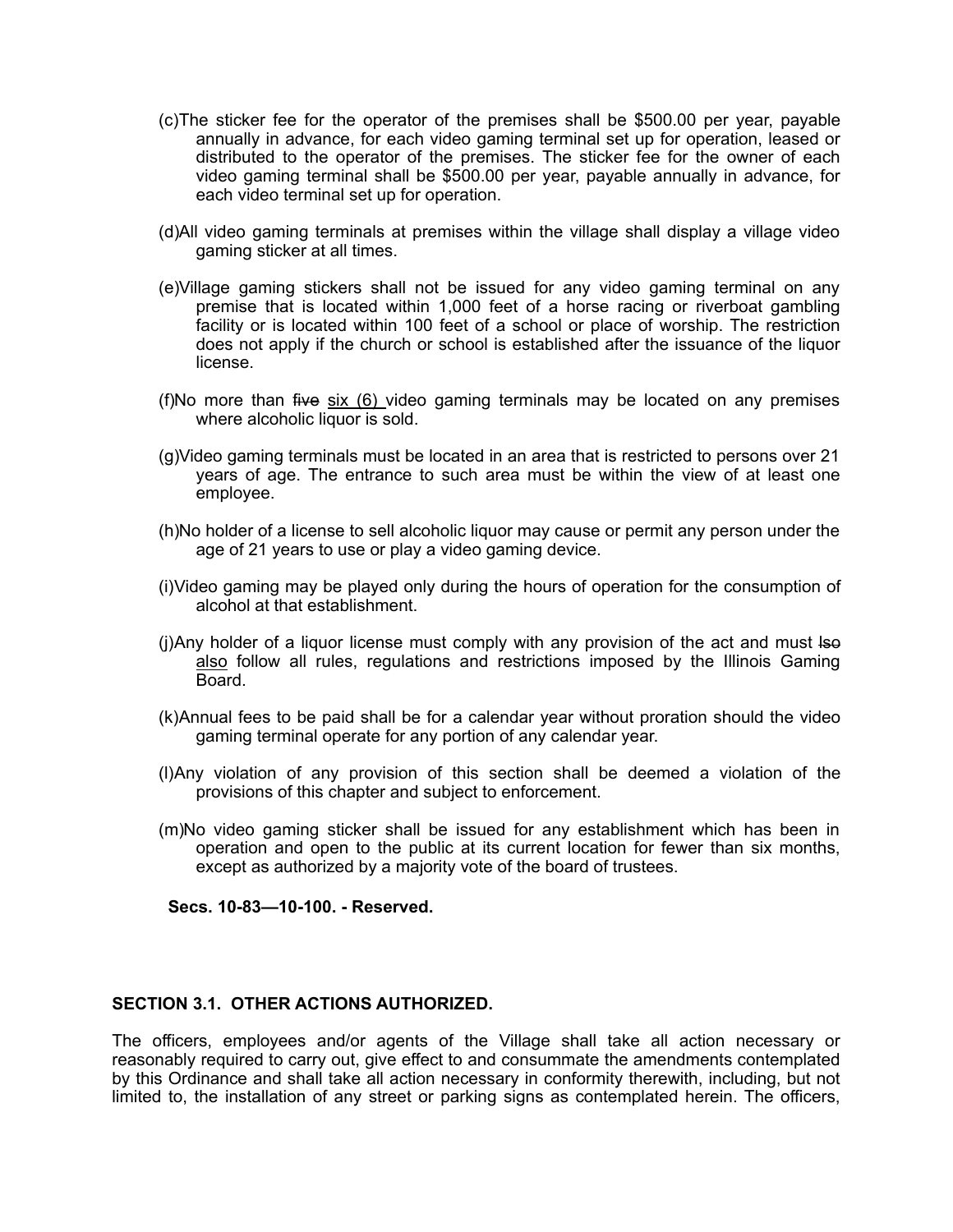- (c)The sticker fee for the operator of the premises shall be \$500.00 per year, payable annually in advance, for each video gaming terminal set up for operation, leased or distributed to the operator of the premises. The sticker fee for the owner of each video gaming terminal shall be \$500.00 per year, payable annually in advance, for each video terminal set up for operation.
- (d)All video gaming terminals at premises within the village shall display a village video gaming sticker at all times.
- (e)Village gaming stickers shall not be issued for any video gaming terminal on any premise that is located within 1,000 feet of a horse racing or riverboat gambling facility or is located within 100 feet of a school or place of worship. The restriction does not apply if the church or school is established after the issuance of the liquor license.
- (f)No more than five  $six$  (6) video gaming terminals may be located on any premises where alcoholic liquor is sold.
- (g)Video gaming terminals must be located in an area that is restricted to persons over 21 years of age. The entrance to such area must be within the view of at least one employee.
- (h)No holder of a license to sell alcoholic liquor may cause or permit any person under the age of 21 years to use or play a video gaming device.
- (i)Video gaming may be played only during the hours of operation for the consumption of alcohol at that establishment.
- (j)Any holder of a liquor license must comply with any provision of the act and must lso also follow all rules, regulations and restrictions imposed by the Illinois Gaming Board.
- (k)Annual fees to be paid shall be for a calendar year without proration should the video gaming terminal operate for any portion of any calendar year.
- (l)Any violation of any provision of this section shall be deemed a violation of the provisions of this chapter and subject to enforcement.
- (m)No video gaming sticker shall be issued for any establishment which has been in operation and open to the public at its current location for fewer than six months, except as authorized by a majority vote of the board of trustees.

**Secs. 10-83—10-100. - Reserved.** 

#### **SECTION 3.1. OTHER ACTIONS AUTHORIZED.**

The officers, employees and/or agents of the Village shall take all action necessary or reasonably required to carry out, give effect to and consummate the amendments contemplated by this Ordinance and shall take all action necessary in conformity therewith, including, but not limited to, the installation of any street or parking signs as contemplated herein. The officers,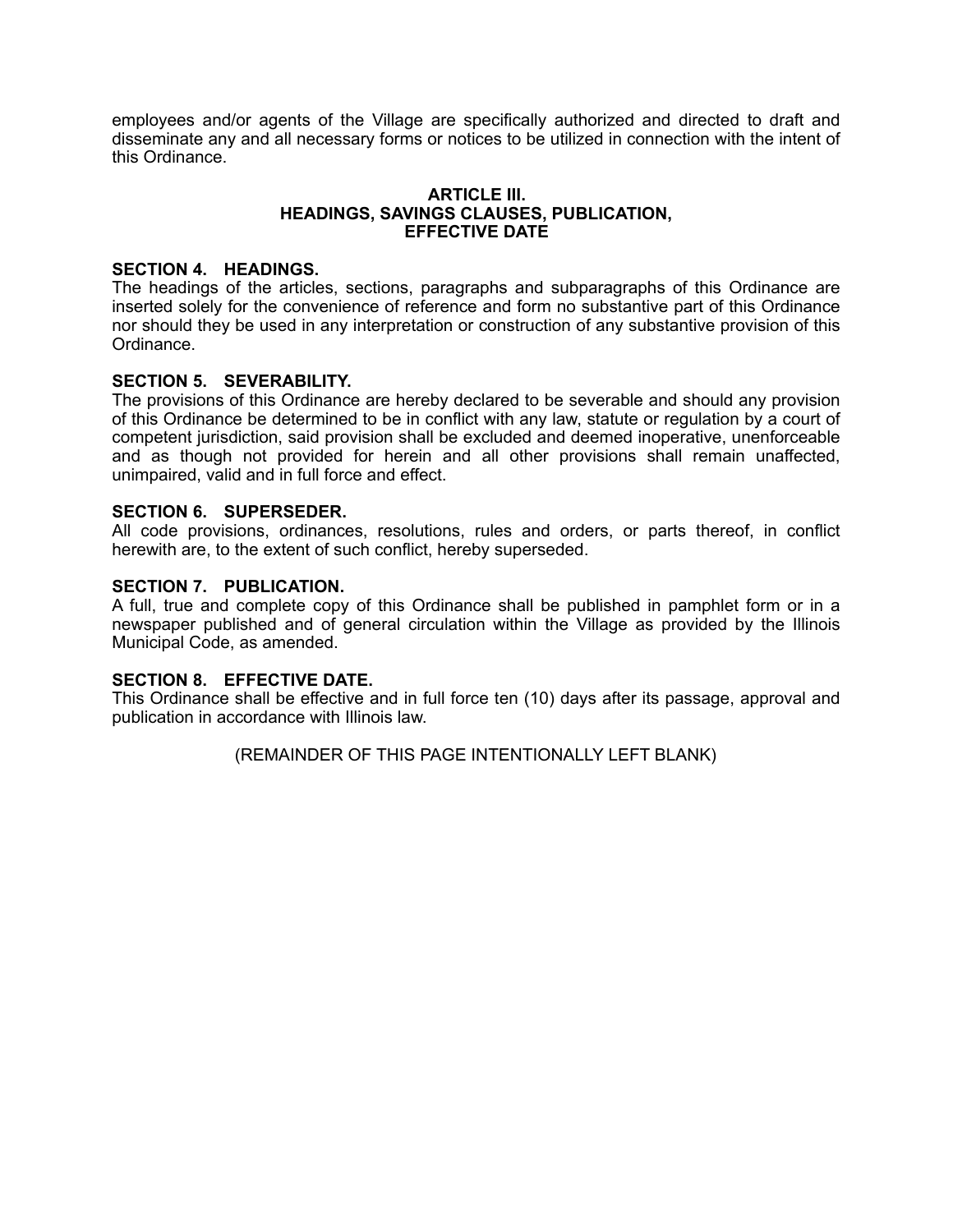employees and/or agents of the Village are specifically authorized and directed to draft and disseminate any and all necessary forms or notices to be utilized in connection with the intent of this Ordinance.

### **ARTICLE III. HEADINGS, SAVINGS CLAUSES, PUBLICATION, EFFECTIVE DATE**

## **SECTION 4. HEADINGS.**

The headings of the articles, sections, paragraphs and subparagraphs of this Ordinance are inserted solely for the convenience of reference and form no substantive part of this Ordinance nor should they be used in any interpretation or construction of any substantive provision of this Ordinance.

# **SECTION 5. SEVERABILITY.**

The provisions of this Ordinance are hereby declared to be severable and should any provision of this Ordinance be determined to be in conflict with any law, statute or regulation by a court of competent jurisdiction, said provision shall be excluded and deemed inoperative, unenforceable and as though not provided for herein and all other provisions shall remain unaffected, unimpaired, valid and in full force and effect.

## **SECTION 6. SUPERSEDER.**

All code provisions, ordinances, resolutions, rules and orders, or parts thereof, in conflict herewith are, to the extent of such conflict, hereby superseded.

## **SECTION 7. PUBLICATION.**

A full, true and complete copy of this Ordinance shall be published in pamphlet form or in a newspaper published and of general circulation within the Village as provided by the Illinois Municipal Code, as amended.

## **SECTION 8. EFFECTIVE DATE.**

This Ordinance shall be effective and in full force ten (10) days after its passage, approval and publication in accordance with Illinois law.

(REMAINDER OF THIS PAGE INTENTIONALLY LEFT BLANK)